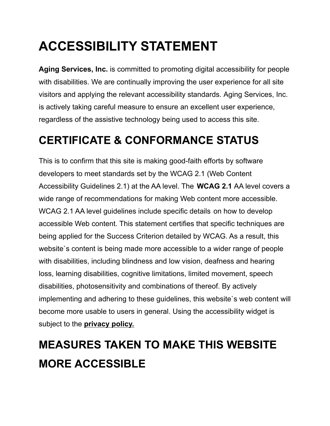# **ACCESSIBILITY STATEMENT**

**Aging Services, Inc.** is committed to promoting digital accessibility for people with disabilities. We are continually improving the user experience for all site visitors and applying the relevant accessibility standards. Aging Services, Inc. is actively taking careful measure to ensure an excellent user experience, regardless of the assistive technology being used to access this site.

#### **CERTIFICATE & CONFORMANCE STATUS**

This is to confirm that this site is making good-faith efforts by software developers to meet standards set by the WCAG 2.1 (Web Content Accessibility Guidelines 2.1) at the AA level. The **[WCAG 2.1](https://www.w3.org/TR/WCAG21/)** AA level covers a wide range of recommendations for making Web content more accessible. WCAG 2.1 AA level guidelines include specific details on how to develop accessible Web content. This statement certifies that specific techniques are being applied for the Success Criterion detailed by WCAG. As a result, this website`s content is being made more accessible to a wider range of people with disabilities, including blindness and low vision, deafness and hearing loss, learning disabilities, cognitive limitations, limited movement, speech disabilities, photosensitivity and combinations of thereof. By actively implementing and adhering to these guidelines, this website`s web content will become more usable to users in general. Using the accessibility widget is subject to the **[privacy policy.](https://agingservicesinc.com/privacy-policy.pdf)**

### **MEASURES TAKEN TO MAKE THIS WEBSITE MORE ACCESSIBLE**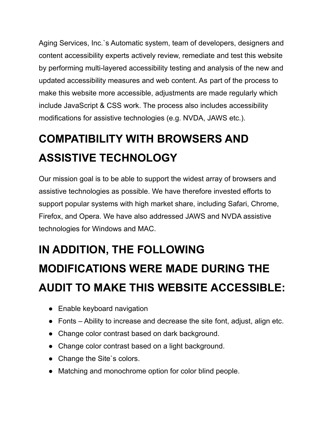Aging Services, Inc.`s Automatic system, team of developers, designers and content accessibility experts actively review, remediate and test this website by performing multi-layered accessibility testing and analysis of the new and updated accessibility measures and web content. As part of the process to make this website more accessible, adjustments are made regularly which include JavaScript & CSS work. The process also includes accessibility modifications for assistive technologies (e.g. NVDA, JAWS etc.).

# **COMPATIBILITY WITH BROWSERS AND ASSISTIVE TECHNOLOGY**

Our mission goal is to be able to support the widest array of browsers and assistive technologies as possible. We have therefore invested efforts to support popular systems with high market share, including Safari, Chrome, Firefox, and Opera. We have also addressed JAWS and NVDA assistive technologies for Windows and MAC.

#### **IN ADDITION, THE FOLLOWING**

# **MODIFICATIONS WERE MADE DURING THE AUDIT TO MAKE THIS WEBSITE ACCESSIBLE:**

- Enable keyboard navigation
- Fonts Ability to increase and decrease the site font, adjust, align etc.
- Change color contrast based on dark background.
- Change color contrast based on a light background.
- Change the Site's colors.
- Matching and monochrome option for color blind people.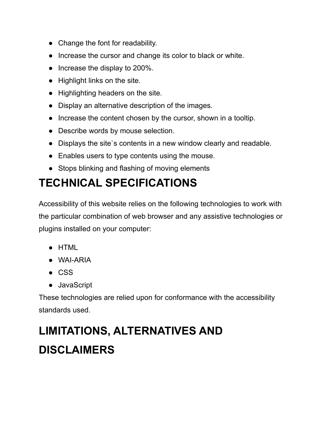- Change the font for readability.
- Increase the cursor and change its color to black or white.
- Increase the display to 200%.
- Highlight links on the site.
- Highlighting headers on the site.
- Display an alternative description of the images.
- Increase the content chosen by the cursor, shown in a tooltip.
- Describe words by mouse selection.
- Displays the site`s contents in a new window clearly and readable.
- Enables users to type contents using the mouse.
- Stops blinking and flashing of moving elements

### **TECHNICAL SPECIFICATIONS**

Accessibility of this website relies on the following technologies to work with the particular combination of web browser and any assistive technologies or plugins installed on your computer:

- HTML
- WAI-ARIA
- CSS
- JavaScript

These technologies are relied upon for conformance with the accessibility standards used.

## **LIMITATIONS, ALTERNATIVES AND DISCLAIMERS**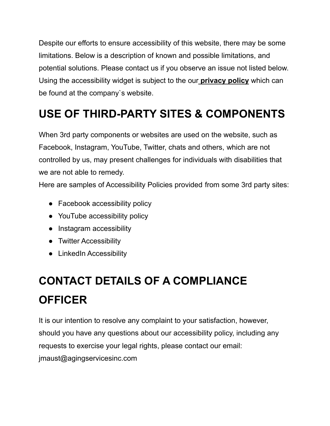Despite our efforts to ensure accessibility of this website, there may be some limitations. Below is a description of known and possible limitations, and potential solutions. Please contact us if you observe an issue not listed below. Using the accessibility widget is subject to the our **[privacy policy](https://agingservicesinc.com/privacy-policy.pdf)** which can be found at the company`s website.

#### **USE OF THIRD-PARTY SITES & COMPONENTS**

When 3rd party components or websites are used on the website, such as Facebook, Instagram, YouTube, Twitter, chats and others, which are not controlled by us, may present challenges for individuals with disabilities that we are not able to remedy.

Here are samples of Accessibility Policies provided from some 3rd party sites:

- [Facebook accessibility policy](https://www.facebook.com/help/273947702950567)
- [YouTube accessibility policy](https://support.google.com/youtube/answer/189278?hl=en)
- [Instagram accessibility](https://help.instagram.com/1178723545597542)
- [Twitter Accessibility](https://help.twitter.com/en/using-twitter/picture-descriptions)
- [LinkedIn Accessibility](https://www.linkedin.com/accessibility)

## **CONTACT DETAILS OF A COMPLIANCE OFFICER**

It is our intention to resolve any complaint to your satisfaction, however, should you have any questions about our accessibility policy, including any requests to exercise your legal rights, please contact our email: jmaust@agingservicesinc.com